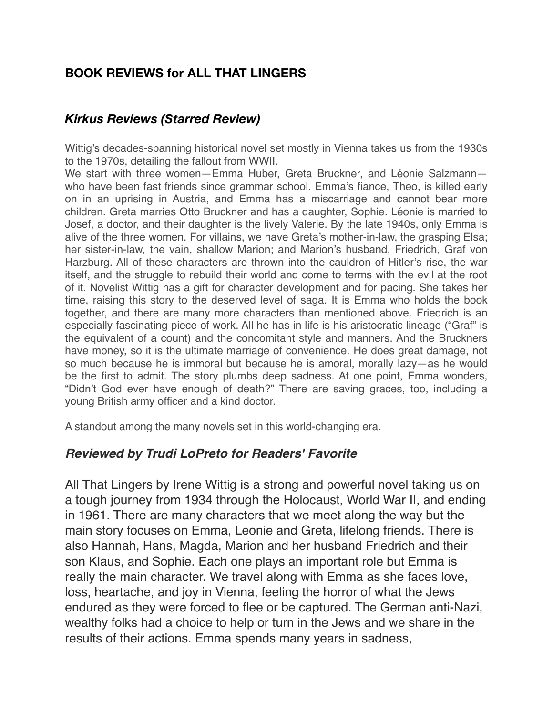# **BOOK REVIEWS for ALL THAT LINGERS**

### *Kirkus Reviews (Starred Review)*

Wittig's decades-spanning historical novel set mostly in Vienna takes us from the 1930s to the 1970s, detailing the fallout from WWII.

We start with three women—Emma Huber, Greta Bruckner, and Léonie Salzmann who have been fast friends since grammar school. Emma's fiance, Theo, is killed early on in an uprising in Austria, and Emma has a miscarriage and cannot bear more children. Greta marries Otto Bruckner and has a daughter, Sophie. Léonie is married to Josef, a doctor, and their daughter is the lively Valerie. By the late 1940s, only Emma is alive of the three women. For villains, we have Greta's mother-in-law, the grasping Elsa; her sister-in-law, the vain, shallow Marion; and Marion's husband, Friedrich, Graf von Harzburg. All of these characters are thrown into the cauldron of Hitler's rise, the war itself, and the struggle to rebuild their world and come to terms with the evil at the root of it. Novelist Wittig has a gift for character development and for pacing. She takes her time, raising this story to the deserved level of saga. It is Emma who holds the book together, and there are many more characters than mentioned above. Friedrich is an especially fascinating piece of work. All he has in life is his aristocratic lineage ("Graf" is the equivalent of a count) and the concomitant style and manners. And the Bruckners have money, so it is the ultimate marriage of convenience. He does great damage, not so much because he is immoral but because he is amoral, morally lazy—as he would be the first to admit. The story plumbs deep sadness. At one point, Emma wonders, "Didn't God ever have enough of death?" There are saving graces, too, including a young British army officer and a kind doctor.

A standout among the many novels set in this world-changing era.

### *Reviewed by Trudi LoPreto for Readers' Favorite*

All That Lingers by Irene Wittig is a strong and powerful novel taking us on a tough journey from 1934 through the Holocaust, World War II, and ending in 1961. There are many characters that we meet along the way but the main story focuses on Emma, Leonie and Greta, lifelong friends. There is also Hannah, Hans, Magda, Marion and her husband Friedrich and their son Klaus, and Sophie. Each one plays an important role but Emma is really the main character. We travel along with Emma as she faces love, loss, heartache, and joy in Vienna, feeling the horror of what the Jews endured as they were forced to flee or be captured. The German anti-Nazi, wealthy folks had a choice to help or turn in the Jews and we share in the results of their actions. Emma spends many years in sadness,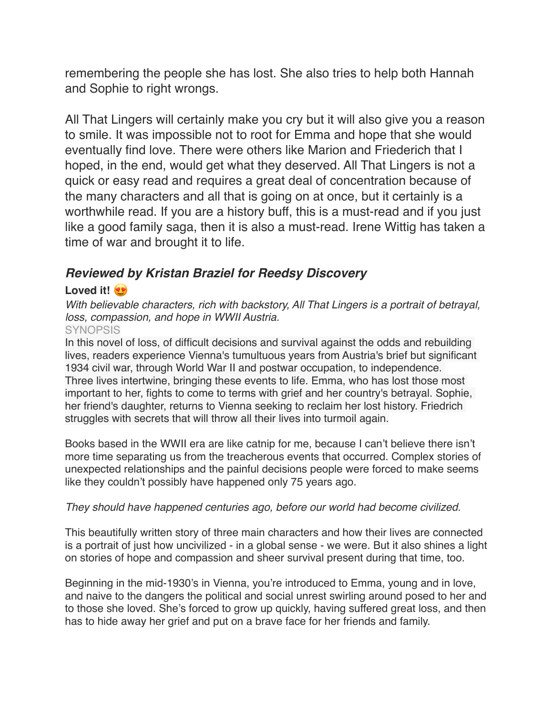remembering the people she has lost. She also tries to help both Hannah and Sophie to right wrongs.

All That Lingers will certainly make you cry but it will also give you a reason to smile. It was impossible not to root for Emma and hope that she would eventually find love. There were others like Marion and Friederich that I hoped, in the end, would get what they deserved. All That Lingers is not a quick or easy read and requires a great deal of concentration because of the many characters and all that is going on at once, but it certainly is a worthwhile read. If you are a history buff, this is a must-read and if you just like a good family saga, then it is also a must-read. Irene Wittig has taken a time of war and brought it to life.

## *Reviewed by Kristan Braziel for Reedsy Discovery*

### **Loved it!**

*With believable characters, rich with backstory, All That Lingers is a portrait of betrayal, loss, compassion, and hope in WWII Austria.*

### **SYNOPSIS**

In this novel of loss, of difficult decisions and survival against the odds and rebuilding lives, readers experience Vienna's tumultuous years from Austria's brief but significant 1934 civil war, through World War II and postwar occupation, to independence. Three lives intertwine, bringing these events to life. Emma, who has lost those most important to her, fights to come to terms with grief and her country's betrayal. Sophie, her friend's daughter, returns to Vienna seeking to reclaim her lost history. Friedrich struggles with secrets that will throw all their lives into turmoil again.

Books based in the WWII era are like catnip for me, because I can't believe there isn't more time separating us from the treacherous events that occurred. Complex stories of unexpected relationships and the painful decisions people were forced to make seems like they couldn't possibly have happened only 75 years ago.

#### *They should have happened centuries ago, before our world had become civilized.*

This beautifully written story of three main characters and how their lives are connected is a portrait of just how uncivilized - in a global sense - we were. But it also shines a light on stories of hope and compassion and sheer survival present during that time, too.

Beginning in the mid-1930's in Vienna, you're introduced to Emma, young and in love, and naive to the dangers the political and social unrest swirling around posed to her and to those she loved. She's forced to grow up quickly, having suffered great loss, and then has to hide away her grief and put on a brave face for her friends and family.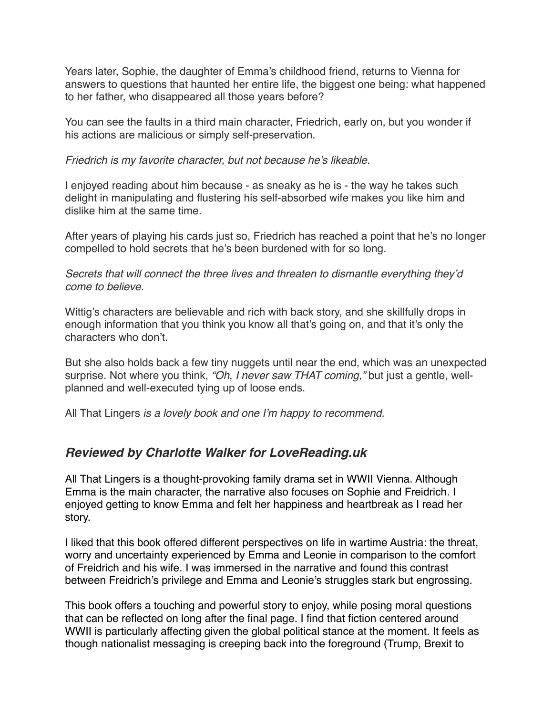Years later, Sophie, the daughter of Emma's childhood friend, returns to Vienna for answers to questions that haunted her entire life, the biggest one being: what happened to her father, who disappeared all those years before?

You can see the faults in a third main character, Friedrich, early on, but you wonder if his actions are malicious or simply self-preservation.

#### *Friedrich is my favorite character, but not because he's likeable.*

I enjoyed reading about him because - as sneaky as he is - the way he takes such delight in manipulating and flustering his self-absorbed wife makes you like him and dislike him at the same time.

After years of playing his cards just so, Friedrich has reached a point that he's no longer compelled to hold secrets that he's been burdened with for so long.

*Secrets that will connect the three lives and threaten to dismantle everything they'd come to believe.*

Wittig's characters are believable and rich with back story, and she skillfully drops in enough information that you think you know all that's going on, and that it's only the characters who don't.

But she also holds back a few tiny nuggets until near the end, which was an unexpected surprise. Not where you think, *"Oh, I never saw THAT coming,"* but just a gentle, wellplanned and well-executed tying up of loose ends.

All That Lingers *is a lovely book and one I'm happy to recommend.* 

### *Reviewed by Charlotte Walker for LoveReading.uk*

All That Lingers is a thought-provoking family drama set in WWII Vienna. Although Emma is the main character, the narrative also focuses on Sophie and Freidrich. I enjoyed getting to know Emma and felt her happiness and heartbreak as I read her story.

I liked that this book offered different perspectives on life in wartime Austria: the threat, worry and uncertainty experienced by Emma and Leonie in comparison to the comfort of Freidrich and his wife. I was immersed in the narrative and found this contrast between Freidrich's privilege and Emma and Leonie's struggles stark but engrossing.

This book offers a touching and powerful story to enjoy, while posing moral questions that can be reflected on long after the final page. I find that fiction centered around WWII is particularly affecting given the global political stance at the moment. It feels as though nationalist messaging is creeping back into the foreground (Trump, Brexit to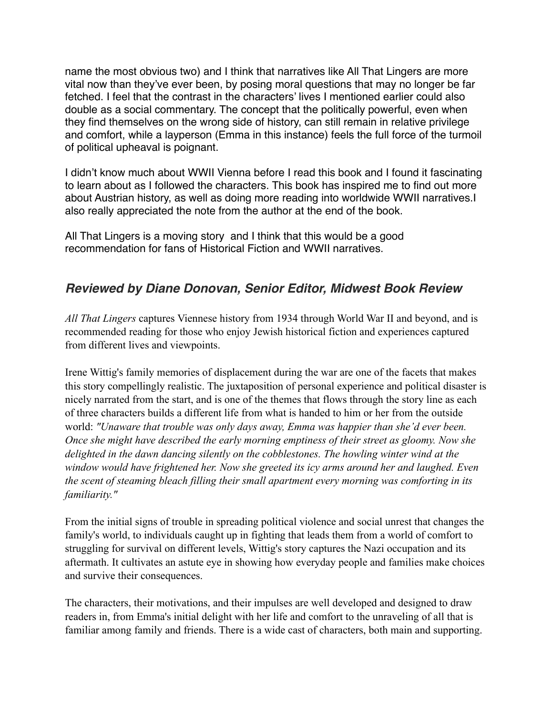name the most obvious two) and I think that narratives like All That Lingers are more vital now than they've ever been, by posing moral questions that may no longer be far fetched. I feel that the contrast in the characters' lives I mentioned earlier could also double as a social commentary. The concept that the politically powerful, even when they find themselves on the wrong side of history, can still remain in relative privilege and comfort, while a layperson (Emma in this instance) feels the full force of the turmoil of political upheaval is poignant.

I didn't know much about WWII Vienna before I read this book and I found it fascinating to learn about as I followed the characters. This book has inspired me to find out more about Austrian history, as well as doing more reading into worldwide WWII narratives.I also really appreciated the note from the author at the end of the book.

All That Lingers is a moving story and I think that this would be a good recommendation for fans of Historical Fiction and WWII narratives.

## *Reviewed by Diane Donovan, Senior Editor, Midwest Book Review*

*All That Lingers* captures Viennese history from 1934 through World War II and beyond, and is recommended reading for those who enjoy Jewish historical fiction and experiences captured from different lives and viewpoints.

Irene Wittig's family memories of displacement during the war are one of the facets that makes this story compellingly realistic. The juxtaposition of personal experience and political disaster is nicely narrated from the start, and is one of the themes that flows through the story line as each of three characters builds a different life from what is handed to him or her from the outside world: *"Unaware that trouble was only days away, Emma was happier than she'd ever been. Once she might have described the early morning emptiness of their street as gloomy. Now she delighted in the dawn dancing silently on the cobblestones. The howling winter wind at the window would have frightened her. Now she greeted its icy arms around her and laughed. Even the scent of steaming bleach filling their small apartment every morning was comforting in its familiarity."*

From the initial signs of trouble in spreading political violence and social unrest that changes the family's world, to individuals caught up in fighting that leads them from a world of comfort to struggling for survival on different levels, Wittig's story captures the Nazi occupation and its aftermath. It cultivates an astute eye in showing how everyday people and families make choices and survive their consequences.

The characters, their motivations, and their impulses are well developed and designed to draw readers in, from Emma's initial delight with her life and comfort to the unraveling of all that is familiar among family and friends. There is a wide cast of characters, both main and supporting.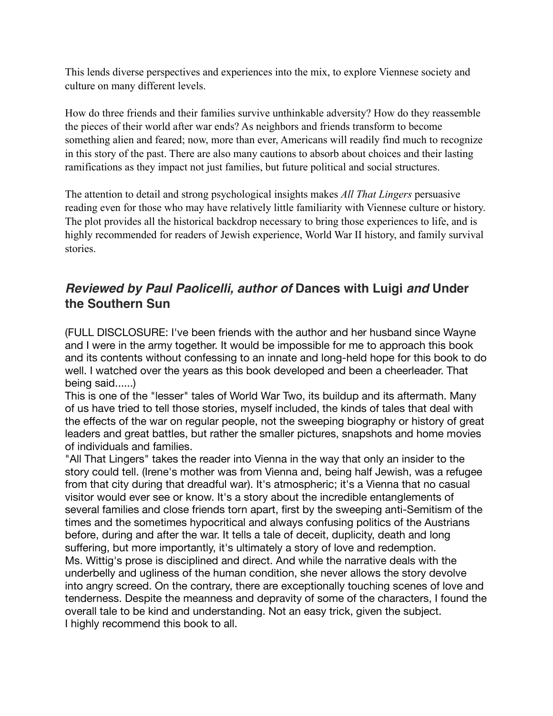This lends diverse perspectives and experiences into the mix, to explore Viennese society and culture on many different levels.

How do three friends and their families survive unthinkable adversity? How do they reassemble the pieces of their world after war ends? As neighbors and friends transform to become something alien and feared; now, more than ever, Americans will readily find much to recognize in this story of the past. There are also many cautions to absorb about choices and their lasting ramifications as they impact not just families, but future political and social structures.

The attention to detail and strong psychological insights makes *All That Lingers* persuasive reading even for those who may have relatively little familiarity with Viennese culture or history. The plot provides all the historical backdrop necessary to bring those experiences to life, and is highly recommended for readers of Jewish experience, World War II history, and family survival stories.

### *Reviewed by Paul Paolicelli, author of* **Dances with Luigi** *and* **Under the Southern Sun**

(FULL DISCLOSURE: I've been friends with the author and her husband since Wayne and I were in the army together. It would be impossible for me to approach this book and its contents without confessing to an innate and long-held hope for this book to do well. I watched over the years as this book developed and been a cheerleader. That being said......)

This is one of the "lesser" tales of World War Two, its buildup and its aftermath. Many of us have tried to tell those stories, myself included, the kinds of tales that deal with the effects of the war on regular people, not the sweeping biography or history of great leaders and great battles, but rather the smaller pictures, snapshots and home movies of individuals and families.

"All That Lingers" takes the reader into Vienna in the way that only an insider to the story could tell. (Irene's mother was from Vienna and, being half Jewish, was a refugee from that city during that dreadful war). It's atmospheric; it's a Vienna that no casual visitor would ever see or know. It's a story about the incredible entanglements of several families and close friends torn apart, first by the sweeping anti-Semitism of the times and the sometimes hypocritical and always confusing politics of the Austrians before, during and after the war. It tells a tale of deceit, duplicity, death and long suffering, but more importantly, it's ultimately a story of love and redemption. Ms. Wittig's prose is disciplined and direct. And while the narrative deals with the underbelly and ugliness of the human condition, she never allows the story devolve into angry screed. On the contrary, there are exceptionally touching scenes of love and tenderness. Despite the meanness and depravity of some of the characters, I found the overall tale to be kind and understanding. Not an easy trick, given the subject. I highly recommend this book to all.